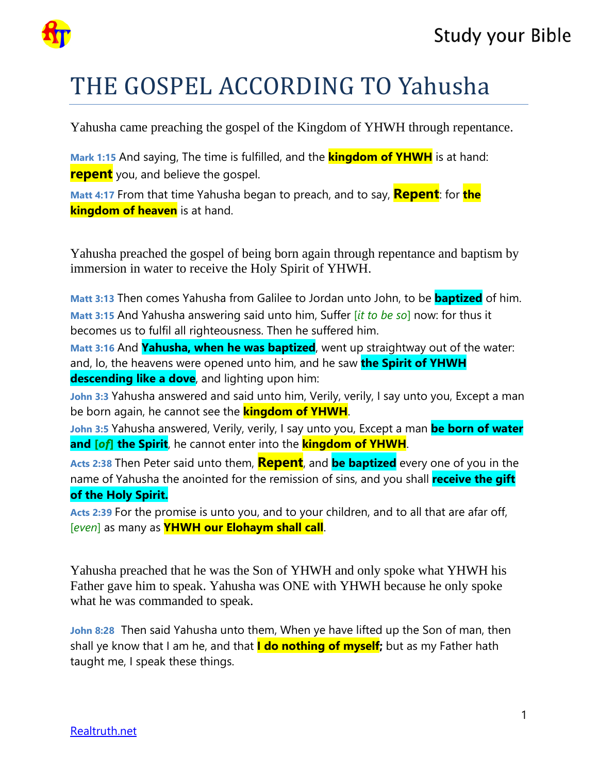



## THE GOSPEL ACCORDING TO Yahusha

Yahusha came preaching the gospel of the Kingdom of YHWH through repentance.

**Mark 1:15** And saying, The time is fulfilled, and the **kingdom of YHWH** is at hand: **repent** you, and believe the gospel.

**Matt 4:17** From that time Yahusha began to preach, and to say, **Repent**: for **the kingdom of heaven** is at hand.

Yahusha preached the gospel of being born again through repentance and baptism by immersion in water to receive the Holy Spirit of YHWH.

**Matt 3:13** Then comes Yahusha from Galilee to Jordan unto John, to be **baptized** of him. **Matt 3:15** And Yahusha answering said unto him, Suffer [*it to be so*] now: for thus it becomes us to fulfil all righteousness. Then he suffered him.

**Matt 3:16** And **Yahusha, when he was baptized**, went up straightway out of the water: and, lo, the heavens were opened unto him, and he saw **the Spirit of YHWH descending like a dove**, and lighting upon him:

**John 3:3** Yahusha answered and said unto him, Verily, verily, I say unto you, Except a man be born again, he cannot see the **kingdom of YHWH**.

**John 3:5** Yahusha answered, Verily, verily, I say unto you, Except a man **be born of water and [***of***] the Spirit**, he cannot enter into the **kingdom of YHWH**.

**Acts 2:38** Then Peter said unto them, **Repent**, and **be baptized** every one of you in the name of Yahusha the anointed for the remission of sins, and you shall **receive the gift of the Holy Spirit.**

**Acts 2:39** For the promise is unto you, and to your children, and to all that are afar off, [*even*] as many as **YHWH our Elohaym shall call**.

Yahusha preached that he was the Son of YHWH and only spoke what YHWH his Father gave him to speak. Yahusha was ONE with YHWH because he only spoke what he was commanded to speak.

**John 8:28** Then said Yahusha unto them, When ye have lifted up the Son of man, then shall ye know that I am he, and that **I do nothing of myself;** but as my Father hath taught me, I speak these things.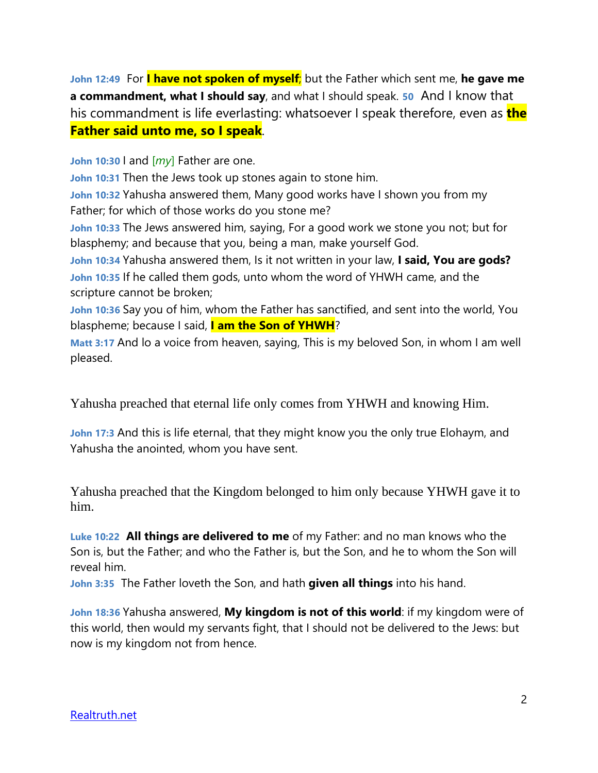**John 12:49** For **I have not spoken of myself**; but the Father which sent me, **he gave me a commandment, what I should say**, and what I should speak. **50** And I know that his commandment is life everlasting: whatsoever I speak therefore, even as **the Father said unto me, so I speak**.

**John 10:30** I and [*my*] Father are one.

**John 10:31** Then the Jews took up stones again to stone him.

**John 10:32** Yahusha answered them, Many good works have I shown you from my Father; for which of those works do you stone me?

**John 10:33** The Jews answered him, saying, For a good work we stone you not; but for blasphemy; and because that you, being a man, make yourself God.

**John 10:34** Yahusha answered them, Is it not written in your law, **I said, You are gods? John 10:35** If he called them gods, unto whom the word of YHWH came, and the scripture cannot be broken;

**John 10:36** Say you of him, whom the Father has sanctified, and sent into the world, You blaspheme; because I said, **I am the Son of YHWH**?

**Matt 3:17** And lo a voice from heaven, saying, This is my beloved Son, in whom I am well pleased.

Yahusha preached that eternal life only comes from YHWH and knowing Him.

**John 17:3** And this is life eternal, that they might know you the only true Elohaym, and Yahusha the anointed, whom you have sent.

Yahusha preached that the Kingdom belonged to him only because YHWH gave it to him.

**Luke 10:22 All things are delivered to me** of my Father: and no man knows who the Son is, but the Father; and who the Father is, but the Son, and he to whom the Son will reveal him.

**John 3:35** The Father loveth the Son, and hath **given all things** into his hand.

**John 18:36** Yahusha answered, **My kingdom is not of this world**: if my kingdom were of this world, then would my servants fight, that I should not be delivered to the Jews: but now is my kingdom not from hence.